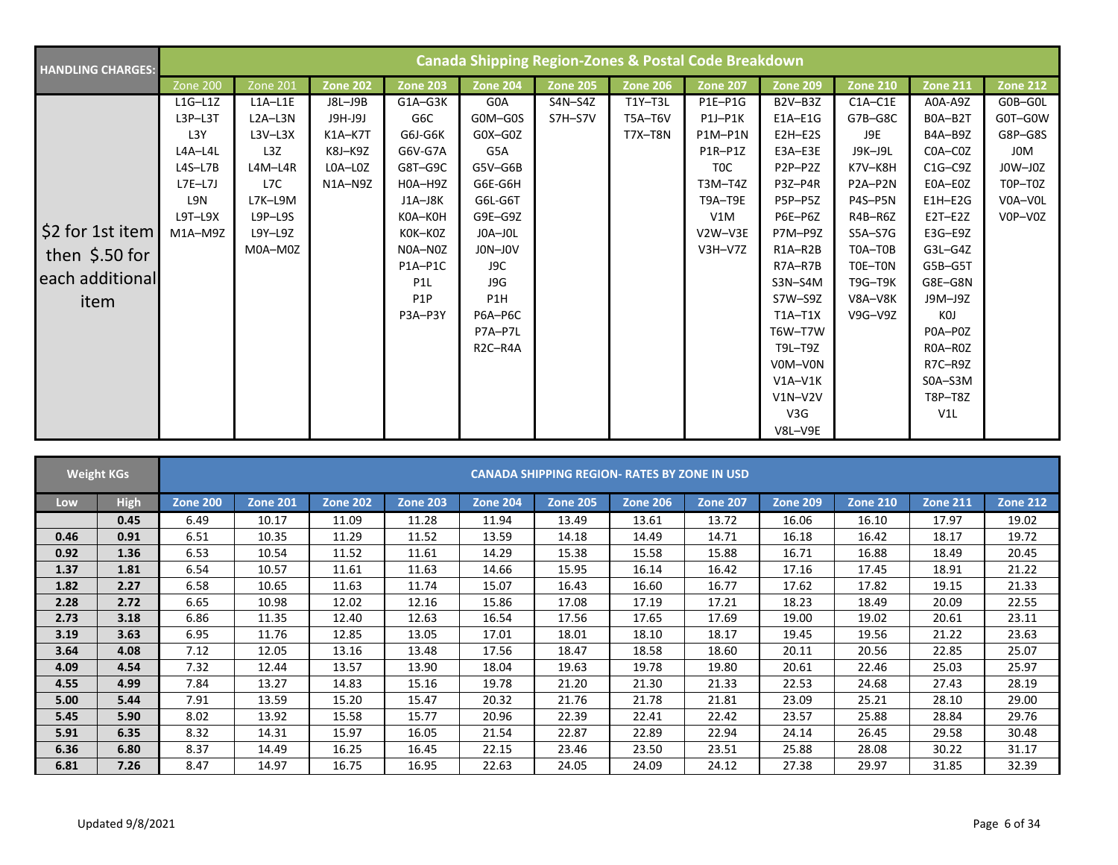| <b>HANDLING CHARGES:</b>                                       | <b>Canada Shipping Region-Zones &amp; Postal Code Breakdown</b>           |                                                                         |                                                                  |                                                                                             |                                                                                                               |                    |                               |                                                                                      |                                                                                                                                                            |                                                                                    |                                                                                                                                             |                                                                         |  |
|----------------------------------------------------------------|---------------------------------------------------------------------------|-------------------------------------------------------------------------|------------------------------------------------------------------|---------------------------------------------------------------------------------------------|---------------------------------------------------------------------------------------------------------------|--------------------|-------------------------------|--------------------------------------------------------------------------------------|------------------------------------------------------------------------------------------------------------------------------------------------------------|------------------------------------------------------------------------------------|---------------------------------------------------------------------------------------------------------------------------------------------|-------------------------------------------------------------------------|--|
|                                                                | Zone 200                                                                  | <b>Zone 201</b>                                                         | <b>Zone 202</b>                                                  | <b>Zone 203</b>                                                                             | <b>Zone 204</b>                                                                                               | <b>Zone 205</b>    | <b>Zone 206</b>               | Zone 207                                                                             | <b>Zone 209</b>                                                                                                                                            | <b>Zone 210</b>                                                                    | <b>Zone 211</b>                                                                                                                             | <b>Zone 212</b>                                                         |  |
|                                                                | $L1G-L1Z$<br>$L3P-L3T$<br>L3Y<br>L4A-L4L<br>$L4S-L7B$<br>$L7E-L7J$<br>L9N | $L1A-L1E$<br>$L2A-L3N$<br>$L3V-L3X$<br>L3Z<br>L4M-L4R<br>L7C<br>L7K-L9M | J8L-J9B<br>J9H-J9J<br>$K1A-K7T$<br>K8J-K9Z<br>LOA-LOZ<br>N1A-N9Z | G1A-G3K<br>G6C<br>G6J-G6K<br>G6V-G7A<br>G8T-G9C<br>H0A-H9Z<br>J1A-J8K                       | G0A<br>G0M-G0S<br>$GOX-GOZ$<br>G5A<br>G5V-G6B<br>G6E-G6H<br>G6L-G6T                                           | S4N-S4Z<br>S7H-S7V | T1Y-T3L<br>T5A-T6V<br>T7X-T8N | P1E-P1G<br>$P1J-P1K$<br>P1M-P1N<br>P1R-P1Z<br>T <sub>0</sub> C<br>T3M-T4Z<br>T9A-T9E | B2V-B3Z<br>$E1A-E1G$<br>$E2H-E2S$<br>$E3A-E3E$<br>P2P-P2Z<br>P3Z-P4R<br>P5P-P5Z                                                                            | $C1A-C1E$<br>G7B-G8C<br>J9E<br>J9K-J9L<br>K7V-K8H<br>P2A-P2N<br>P4S-P5N            | A0A-A9Z<br>BOA-B2T<br>B4A-B9Z<br>COA-COZ<br>$C1G-C9Z$<br>E0A-E0Z<br>$E1H-E2G$                                                               | G0B-G0L<br>G0T-G0W<br>G8P-G8S<br>J0M<br>$JOW-JOZ$<br>T0P-T0Z<br>V0A-V0L |  |
| \$2 for 1st item<br>then $$.50$ for<br>each additional<br>item | $L9T-L9X$<br>M1A-M9Z                                                      | $L9P-L9S$<br>L9Y-L9Z<br>M0A-M0Z                                         |                                                                  | K0A-K0H<br>KOK-KOZ<br>N0A-N0Z<br>P1A-P1C<br>P <sub>1</sub> L<br>P <sub>1</sub> P<br>P3A-P3Y | G9E-G9Z<br>JOA-JOL<br>JON-JOV<br>J9C<br>J9G<br>P1H<br>P6A-P6C<br>P7A-P7L<br>R <sub>2</sub> C-R <sub>4</sub> A |                    |                               | V1M<br>V2W-V3E<br>$V3H-V7Z$                                                          | P6E-P6Z<br>P7M-P9Z<br>$R1A-R2B$<br>R7A-R7B<br>S3N-S4M<br>S7W-S9Z<br>$T1A-T1X$<br>T6W-T7W<br>T9L-T9Z<br>V0M-V0N<br>$V1A-V1K$<br>$V1N-V2V$<br>V3G<br>V8L-V9E | R4B-R6Z<br>S5A-S7G<br>T0A-T0B<br>TOE-TON<br><b>T9G-T9K</b><br>V8A-V8K<br>$V9G-V9Z$ | $E2T-E2Z$<br>E3G-E9Z<br>$G3L-G4Z$<br>G5B-G5T<br>G8E-G8N<br>J9M-J9Z<br>KOJ<br>POA-POZ<br>ROA-ROZ<br>R7C-R9Z<br>$SOA - S3M$<br>T8P-T8Z<br>V1L | V0P-V0Z                                                                 |  |

|      | <b>Weight KGs</b> |                 |                 |                 |                 |                 | <b>CANADA SHIPPING REGION- RATES BY ZONE IN USD</b> |                 |                 |                 |                 |                 |                 |
|------|-------------------|-----------------|-----------------|-----------------|-----------------|-----------------|-----------------------------------------------------|-----------------|-----------------|-----------------|-----------------|-----------------|-----------------|
| Low  | <b>High</b>       | <b>Zone 200</b> | <b>Zone 201</b> | <b>Zone 202</b> | <b>Zone 203</b> | <b>Zone 204</b> | <b>Zone 205</b>                                     | <b>Zone 206</b> | <b>Zone 207</b> | <b>Zone 209</b> | <b>Zone 210</b> | <b>Zone 211</b> | <b>Zone 212</b> |
|      | 0.45              | 6.49            | 10.17           | 11.09           | 11.28           | 11.94           | 13.49                                               | 13.61           | 13.72           | 16.06           | 16.10           | 17.97           | 19.02           |
| 0.46 | 0.91              | 6.51            | 10.35           | 11.29           | 11.52           | 13.59           | 14.18                                               | 14.49           | 14.71           | 16.18           | 16.42           | 18.17           | 19.72           |
| 0.92 | 1.36              | 6.53            | 10.54           | 11.52           | 11.61           | 14.29           | 15.38                                               | 15.58           | 15.88           | 16.71           | 16.88           | 18.49           | 20.45           |
| 1.37 | 1.81              | 6.54            | 10.57           | 11.61           | 11.63           | 14.66           | 15.95                                               | 16.14           | 16.42           | 17.16           | 17.45           | 18.91           | 21.22           |
| 1.82 | 2.27              | 6.58            | 10.65           | 11.63           | 11.74           | 15.07           | 16.43                                               | 16.60           | 16.77           | 17.62           | 17.82           | 19.15           | 21.33           |
| 2.28 | 2.72              | 6.65            | 10.98           | 12.02           | 12.16           | 15.86           | 17.08                                               | 17.19           | 17.21           | 18.23           | 18.49           | 20.09           | 22.55           |
| 2.73 | 3.18              | 6.86            | 11.35           | 12.40           | 12.63           | 16.54           | 17.56                                               | 17.65           | 17.69           | 19.00           | 19.02           | 20.61           | 23.11           |
| 3.19 | 3.63              | 6.95            | 11.76           | 12.85           | 13.05           | 17.01           | 18.01                                               | 18.10           | 18.17           | 19.45           | 19.56           | 21.22           | 23.63           |
| 3.64 | 4.08              | 7.12            | 12.05           | 13.16           | 13.48           | 17.56           | 18.47                                               | 18.58           | 18.60           | 20.11           | 20.56           | 22.85           | 25.07           |
| 4.09 | 4.54              | 7.32            | 12.44           | 13.57           | 13.90           | 18.04           | 19.63                                               | 19.78           | 19.80           | 20.61           | 22.46           | 25.03           | 25.97           |
| 4.55 | 4.99              | 7.84            | 13.27           | 14.83           | 15.16           | 19.78           | 21.20                                               | 21.30           | 21.33           | 22.53           | 24.68           | 27.43           | 28.19           |
| 5.00 | 5.44              | 7.91            | 13.59           | 15.20           | 15.47           | 20.32           | 21.76                                               | 21.78           | 21.81           | 23.09           | 25.21           | 28.10           | 29.00           |
| 5.45 | 5.90              | 8.02            | 13.92           | 15.58           | 15.77           | 20.96           | 22.39                                               | 22.41           | 22.42           | 23.57           | 25.88           | 28.84           | 29.76           |
| 5.91 | 6.35              | 8.32            | 14.31           | 15.97           | 16.05           | 21.54           | 22.87                                               | 22.89           | 22.94           | 24.14           | 26.45           | 29.58           | 30.48           |
| 6.36 | 6.80              | 8.37            | 14.49           | 16.25           | 16.45           | 22.15           | 23.46                                               | 23.50           | 23.51           | 25.88           | 28.08           | 30.22           | 31.17           |
| 6.81 | 7.26              | 8.47            | 14.97           | 16.75           | 16.95           | 22.63           | 24.05                                               | 24.09           | 24.12           | 27.38           | 29.97           | 31.85           | 32.39           |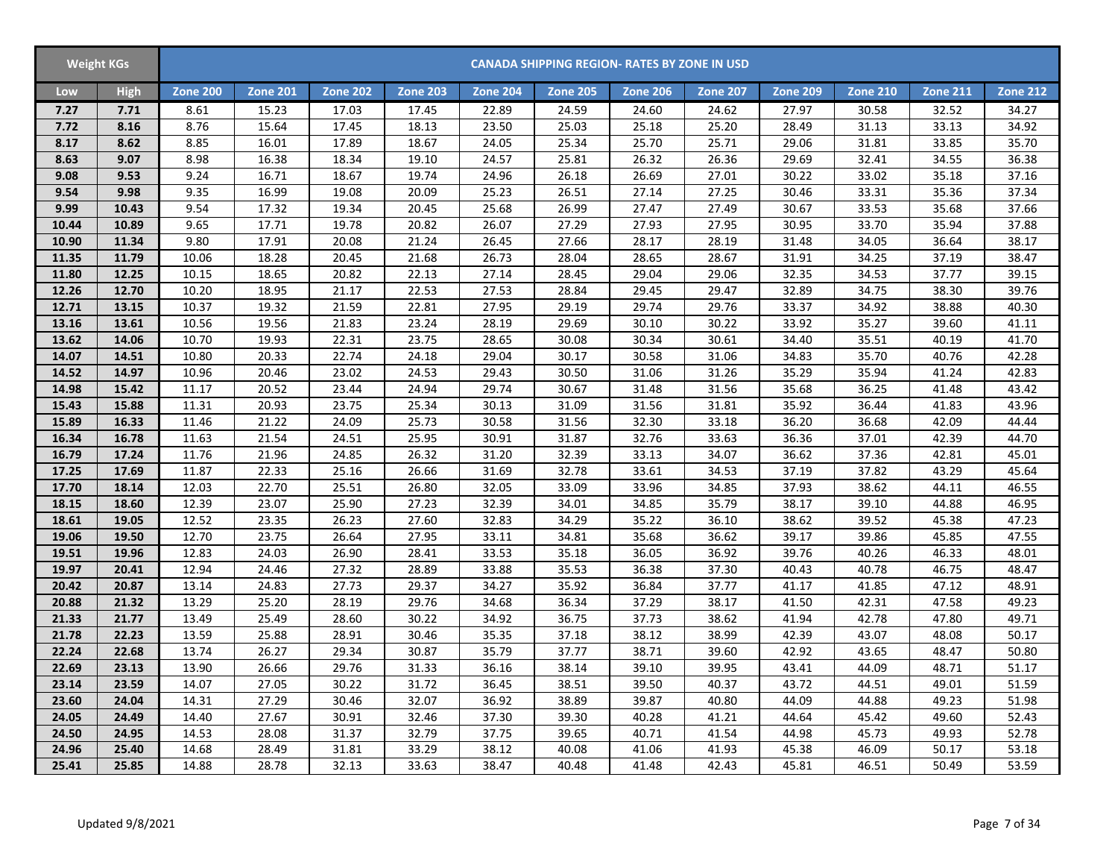| <b>Weight KGs</b> |       |                 |                 |                 |                 |                 |                 | <b>CANADA SHIPPING REGION- RATES BY ZONE IN USD</b> |                 |                 |                 |                 |                 |
|-------------------|-------|-----------------|-----------------|-----------------|-----------------|-----------------|-----------------|-----------------------------------------------------|-----------------|-----------------|-----------------|-----------------|-----------------|
| Low               | High  | <b>Zone 200</b> | <b>Zone 201</b> | <b>Zone 202</b> | <b>Zone 203</b> | <b>Zone 204</b> | <b>Zone 205</b> | <b>Zone 206</b>                                     | <b>Zone 207</b> | <b>Zone 209</b> | <b>Zone 210</b> | <b>Zone 211</b> | <b>Zone 212</b> |
| 7.27              | 7.71  | 8.61            | 15.23           | 17.03           | 17.45           | 22.89           | 24.59           | 24.60                                               | 24.62           | 27.97           | 30.58           | 32.52           | 34.27           |
| 7.72              | 8.16  | 8.76            | 15.64           | 17.45           | 18.13           | 23.50           | 25.03           | 25.18                                               | 25.20           | 28.49           | 31.13           | 33.13           | 34.92           |
| 8.17              | 8.62  | 8.85            | 16.01           | 17.89           | 18.67           | 24.05           | 25.34           | 25.70                                               | 25.71           | 29.06           | 31.81           | 33.85           | 35.70           |
| 8.63              | 9.07  | 8.98            | 16.38           | 18.34           | 19.10           | 24.57           | 25.81           | 26.32                                               | 26.36           | 29.69           | 32.41           | 34.55           | 36.38           |
| 9.08              | 9.53  | 9.24            | 16.71           | 18.67           | 19.74           | 24.96           | 26.18           | 26.69                                               | 27.01           | 30.22           | 33.02           | 35.18           | 37.16           |
| 9.54              | 9.98  | 9.35            | 16.99           | 19.08           | 20.09           | 25.23           | 26.51           | 27.14                                               | 27.25           | 30.46           | 33.31           | 35.36           | 37.34           |
| 9.99              | 10.43 | 9.54            | 17.32           | 19.34           | 20.45           | 25.68           | 26.99           | 27.47                                               | 27.49           | 30.67           | 33.53           | 35.68           | 37.66           |
| 10.44             | 10.89 | 9.65            | 17.71           | 19.78           | 20.82           | 26.07           | 27.29           | 27.93                                               | 27.95           | 30.95           | 33.70           | 35.94           | 37.88           |
| 10.90             | 11.34 | 9.80            | 17.91           | 20.08           | 21.24           | 26.45           | 27.66           | 28.17                                               | 28.19           | 31.48           | 34.05           | 36.64           | 38.17           |
| 11.35             | 11.79 | 10.06           | 18.28           | 20.45           | 21.68           | 26.73           | 28.04           | 28.65                                               | 28.67           | 31.91           | 34.25           | 37.19           | 38.47           |
| 11.80             | 12.25 | 10.15           | 18.65           | 20.82           | 22.13           | 27.14           | 28.45           | 29.04                                               | 29.06           | 32.35           | 34.53           | 37.77           | 39.15           |
| 12.26             | 12.70 | 10.20           | 18.95           | 21.17           | 22.53           | 27.53           | 28.84           | 29.45                                               | 29.47           | 32.89           | 34.75           | 38.30           | 39.76           |
| 12.71             | 13.15 | 10.37           | 19.32           | 21.59           | 22.81           | 27.95           | 29.19           | 29.74                                               | 29.76           | 33.37           | 34.92           | 38.88           | 40.30           |
| 13.16             | 13.61 | 10.56           | 19.56           | 21.83           | 23.24           | 28.19           | 29.69           | 30.10                                               | 30.22           | 33.92           | 35.27           | 39.60           | 41.11           |
| 13.62             | 14.06 | 10.70           | 19.93           | 22.31           | 23.75           | 28.65           | 30.08           | 30.34                                               | 30.61           | 34.40           | 35.51           | 40.19           | 41.70           |
| 14.07             | 14.51 | 10.80           | 20.33           | 22.74           | 24.18           | 29.04           | 30.17           | 30.58                                               | 31.06           | 34.83           | 35.70           | 40.76           | 42.28           |
| 14.52             | 14.97 | 10.96           | 20.46           | 23.02           | 24.53           | 29.43           | 30.50           | 31.06                                               | 31.26           | 35.29           | 35.94           | 41.24           | 42.83           |
| 14.98             | 15.42 | 11.17           | 20.52           | 23.44           | 24.94           | 29.74           | 30.67           | 31.48                                               | 31.56           | 35.68           | 36.25           | 41.48           | 43.42           |
| 15.43             | 15.88 | 11.31           | 20.93           | 23.75           | 25.34           | 30.13           | 31.09           | 31.56                                               | 31.81           | 35.92           | 36.44           | 41.83           | 43.96           |
| 15.89             | 16.33 | 11.46           | 21.22           | 24.09           | 25.73           | 30.58           | 31.56           | 32.30                                               | 33.18           | 36.20           | 36.68           | 42.09           | 44.44           |
| 16.34             | 16.78 | 11.63           | 21.54           | 24.51           | 25.95           | 30.91           | 31.87           | 32.76                                               | 33.63           | 36.36           | 37.01           | 42.39           | 44.70           |
| 16.79             | 17.24 | 11.76           | 21.96           | 24.85           | 26.32           | 31.20           | 32.39           | 33.13                                               | 34.07           | 36.62           | 37.36           | 42.81           | 45.01           |
| 17.25             | 17.69 | 11.87           | 22.33           | 25.16           | 26.66           | 31.69           | 32.78           | 33.61                                               | 34.53           | 37.19           | 37.82           | 43.29           | 45.64           |
| 17.70             | 18.14 | 12.03           | 22.70           | 25.51           | 26.80           | 32.05           | 33.09           | 33.96                                               | 34.85           | 37.93           | 38.62           | 44.11           | 46.55           |
| 18.15             | 18.60 | 12.39           | 23.07           | 25.90           | 27.23           | 32.39           | 34.01           | 34.85                                               | 35.79           | 38.17           | 39.10           | 44.88           | 46.95           |
| 18.61             | 19.05 | 12.52           | 23.35           | 26.23           | 27.60           | 32.83           | 34.29           | 35.22                                               | 36.10           | 38.62           | 39.52           | 45.38           | 47.23           |
| 19.06             | 19.50 | 12.70           | 23.75           | 26.64           | 27.95           | 33.11           | 34.81           | 35.68                                               | 36.62           | 39.17           | 39.86           | 45.85           | 47.55           |
| 19.51             | 19.96 | 12.83           | 24.03           | 26.90           | 28.41           | 33.53           | 35.18           | 36.05                                               | 36.92           | 39.76           | 40.26           | 46.33           | 48.01           |
| 19.97             | 20.41 | 12.94           | 24.46           | 27.32           | 28.89           | 33.88           | 35.53           | 36.38                                               | 37.30           | 40.43           | 40.78           | 46.75           | 48.47           |
| 20.42             | 20.87 | 13.14           | 24.83           | 27.73           | 29.37           | 34.27           | 35.92           | 36.84                                               | 37.77           | 41.17           | 41.85           | 47.12           | 48.91           |
| 20.88             | 21.32 | 13.29           | 25.20           | 28.19           | 29.76           | 34.68           | 36.34           | 37.29                                               | 38.17           | 41.50           | 42.31           | 47.58           | 49.23           |
| 21.33             | 21.77 | 13.49           | 25.49           | 28.60           | 30.22           | 34.92           | 36.75           | 37.73                                               | 38.62           | 41.94           | 42.78           | 47.80           | 49.71           |
| 21.78             | 22.23 | 13.59           | 25.88           | 28.91           | 30.46           | 35.35           | 37.18           | 38.12                                               | 38.99           | 42.39           | 43.07           | 48.08           | 50.17           |
| 22.24             | 22.68 | 13.74           | 26.27           | 29.34           | 30.87           | 35.79           | 37.77           | 38.71                                               | 39.60           | 42.92           | 43.65           | 48.47           | 50.80           |
| 22.69             | 23.13 | 13.90           | 26.66           | 29.76           | 31.33           | 36.16           | 38.14           | 39.10                                               | 39.95           | 43.41           | 44.09           | 48.71           | 51.17           |
| 23.14             | 23.59 | 14.07           | 27.05           | 30.22           | 31.72           | 36.45           | 38.51           | 39.50                                               | 40.37           | 43.72           | 44.51           | 49.01           | 51.59           |
| 23.60             | 24.04 | 14.31           | 27.29           | 30.46           | 32.07           | 36.92           | 38.89           | 39.87                                               | 40.80           | 44.09           | 44.88           | 49.23           | 51.98           |
| 24.05             | 24.49 | 14.40           | 27.67           | 30.91           | 32.46           | 37.30           | 39.30           | 40.28                                               | 41.21           | 44.64           | 45.42           | 49.60           | 52.43           |
| 24.50             | 24.95 | 14.53           | 28.08           | 31.37           | 32.79           | 37.75           | 39.65           | 40.71                                               | 41.54           | 44.98           | 45.73           | 49.93           | 52.78           |
| 24.96             | 25.40 | 14.68           | 28.49           | 31.81           | 33.29           | 38.12           | 40.08           | 41.06                                               | 41.93           | 45.38           | 46.09           | 50.17           | 53.18           |
| 25.41             | 25.85 | 14.88           | 28.78           | 32.13           | 33.63           | 38.47           | 40.48           | 41.48                                               | 42.43           | 45.81           | 46.51           | 50.49           | 53.59           |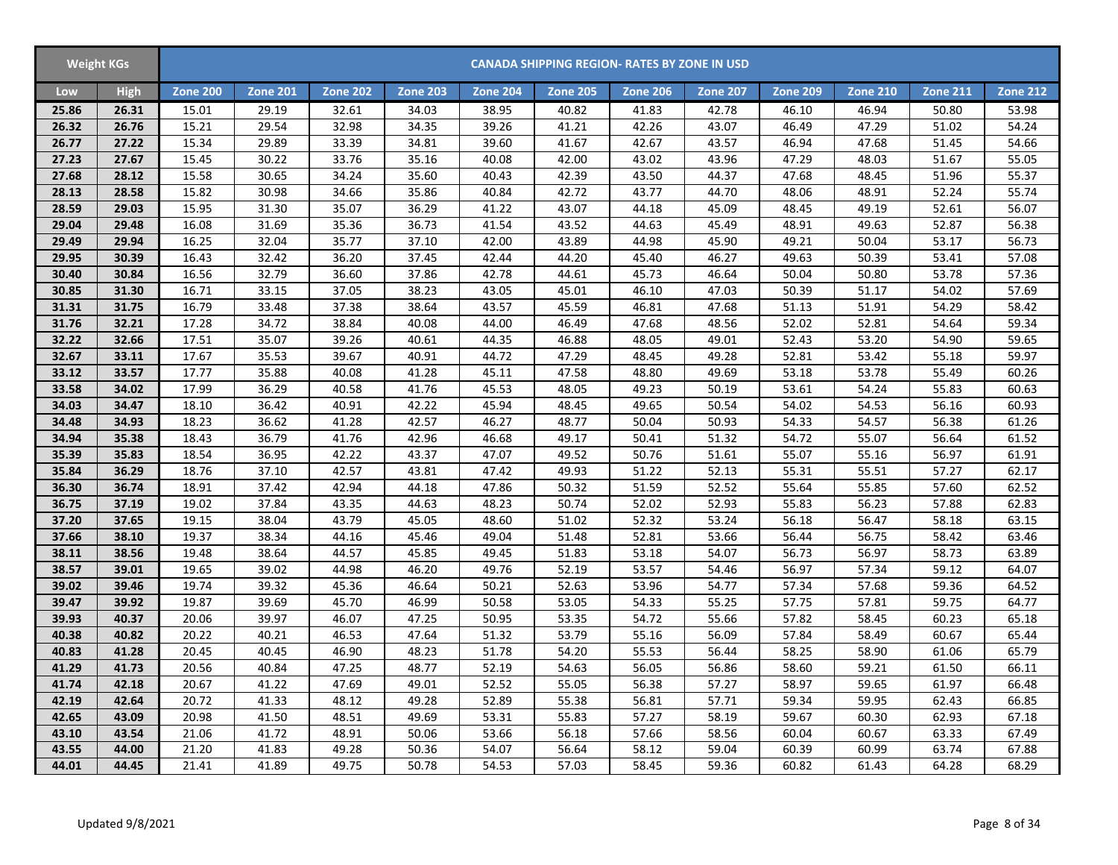|       | <b>Weight KGs</b> |                 |                 |                 |                 |                 |                 | <b>CANADA SHIPPING REGION- RATES BY ZONE IN USD</b> |                 |                 |                 |                 |                 |
|-------|-------------------|-----------------|-----------------|-----------------|-----------------|-----------------|-----------------|-----------------------------------------------------|-----------------|-----------------|-----------------|-----------------|-----------------|
| Low   | <b>High</b>       | <b>Zone 200</b> | <b>Zone 201</b> | <b>Zone 202</b> | <b>Zone 203</b> | <b>Zone 204</b> | <b>Zone 205</b> | <b>Zone 206</b>                                     | <b>Zone 207</b> | <b>Zone 209</b> | <b>Zone 210</b> | <b>Zone 211</b> | <b>Zone 212</b> |
| 25.86 | 26.31             | 15.01           | 29.19           | 32.61           | 34.03           | 38.95           | 40.82           | 41.83                                               | 42.78           | 46.10           | 46.94           | 50.80           | 53.98           |
| 26.32 | 26.76             | 15.21           | 29.54           | 32.98           | 34.35           | 39.26           | 41.21           | 42.26                                               | 43.07           | 46.49           | 47.29           | 51.02           | 54.24           |
| 26.77 | 27.22             | 15.34           | 29.89           | 33.39           | 34.81           | 39.60           | 41.67           | 42.67                                               | 43.57           | 46.94           | 47.68           | 51.45           | 54.66           |
| 27.23 | 27.67             | 15.45           | 30.22           | 33.76           | 35.16           | 40.08           | 42.00           | 43.02                                               | 43.96           | 47.29           | 48.03           | 51.67           | 55.05           |
| 27.68 | 28.12             | 15.58           | 30.65           | 34.24           | 35.60           | 40.43           | 42.39           | 43.50                                               | 44.37           | 47.68           | 48.45           | 51.96           | 55.37           |
| 28.13 | 28.58             | 15.82           | 30.98           | 34.66           | 35.86           | 40.84           | 42.72           | 43.77                                               | 44.70           | 48.06           | 48.91           | 52.24           | 55.74           |
| 28.59 | 29.03             | 15.95           | 31.30           | 35.07           | 36.29           | 41.22           | 43.07           | 44.18                                               | 45.09           | 48.45           | 49.19           | 52.61           | 56.07           |
| 29.04 | 29.48             | 16.08           | 31.69           | 35.36           | 36.73           | 41.54           | 43.52           | 44.63                                               | 45.49           | 48.91           | 49.63           | 52.87           | 56.38           |
| 29.49 | 29.94             | 16.25           | 32.04           | 35.77           | 37.10           | 42.00           | 43.89           | 44.98                                               | 45.90           | 49.21           | 50.04           | 53.17           | 56.73           |
| 29.95 | 30.39             | 16.43           | 32.42           | 36.20           | 37.45           | 42.44           | 44.20           | 45.40                                               | 46.27           | 49.63           | 50.39           | 53.41           | 57.08           |
| 30.40 | 30.84             | 16.56           | 32.79           | 36.60           | 37.86           | 42.78           | 44.61           | 45.73                                               | 46.64           | 50.04           | 50.80           | 53.78           | 57.36           |
| 30.85 | 31.30             | 16.71           | 33.15           | 37.05           | 38.23           | 43.05           | 45.01           | 46.10                                               | 47.03           | 50.39           | 51.17           | 54.02           | 57.69           |
| 31.31 | 31.75             | 16.79           | 33.48           | 37.38           | 38.64           | 43.57           | 45.59           | 46.81                                               | 47.68           | 51.13           | 51.91           | 54.29           | 58.42           |
| 31.76 | 32.21             | 17.28           | 34.72           | 38.84           | 40.08           | 44.00           | 46.49           | 47.68                                               | 48.56           | 52.02           | 52.81           | 54.64           | 59.34           |
| 32.22 | 32.66             | 17.51           | 35.07           | 39.26           | 40.61           | 44.35           | 46.88           | 48.05                                               | 49.01           | 52.43           | 53.20           | 54.90           | 59.65           |
| 32.67 | 33.11             | 17.67           | 35.53           | 39.67           | 40.91           | 44.72           | 47.29           | 48.45                                               | 49.28           | 52.81           | 53.42           | 55.18           | 59.97           |
| 33.12 | 33.57             | 17.77           | 35.88           | 40.08           | 41.28           | 45.11           | 47.58           | 48.80                                               | 49.69           | 53.18           | 53.78           | 55.49           | 60.26           |
| 33.58 | 34.02             | 17.99           | 36.29           | 40.58           | 41.76           | 45.53           | 48.05           | 49.23                                               | 50.19           | 53.61           | 54.24           | 55.83           | 60.63           |
| 34.03 | 34.47             | 18.10           | 36.42           | 40.91           | 42.22           | 45.94           | 48.45           | 49.65                                               | 50.54           | 54.02           | 54.53           | 56.16           | 60.93           |
| 34.48 | 34.93             | 18.23           | 36.62           | 41.28           | 42.57           | 46.27           | 48.77           | 50.04                                               | 50.93           | 54.33           | 54.57           | 56.38           | 61.26           |
| 34.94 | 35.38             | 18.43           | 36.79           | 41.76           | 42.96           | 46.68           | 49.17           | 50.41                                               | 51.32           | 54.72           | 55.07           | 56.64           | 61.52           |
| 35.39 | 35.83             | 18.54           | 36.95           | 42.22           | 43.37           | 47.07           | 49.52           | 50.76                                               | 51.61           | 55.07           | 55.16           | 56.97           | 61.91           |
| 35.84 | 36.29             | 18.76           | 37.10           | 42.57           | 43.81           | 47.42           | 49.93           | 51.22                                               | 52.13           | 55.31           | 55.51           | 57.27           | 62.17           |
| 36.30 | 36.74             | 18.91           | 37.42           | 42.94           | 44.18           | 47.86           | 50.32           | 51.59                                               | 52.52           | 55.64           | 55.85           | 57.60           | 62.52           |
| 36.75 | 37.19             | 19.02           | 37.84           | 43.35           | 44.63           | 48.23           | 50.74           | 52.02                                               | 52.93           | 55.83           | 56.23           | 57.88           | 62.83           |
| 37.20 | 37.65             | 19.15           | 38.04           | 43.79           | 45.05           | 48.60           | 51.02           | 52.32                                               | 53.24           | 56.18           | 56.47           | 58.18           | 63.15           |
| 37.66 | 38.10             | 19.37           | 38.34           | 44.16           | 45.46           | 49.04           | 51.48           | 52.81                                               | 53.66           | 56.44           | 56.75           | 58.42           | 63.46           |
| 38.11 | 38.56             | 19.48           | 38.64           | 44.57           | 45.85           | 49.45           | 51.83           | 53.18                                               | 54.07           | 56.73           | 56.97           | 58.73           | 63.89           |
| 38.57 | 39.01             | 19.65           | 39.02           | 44.98           | 46.20           | 49.76           | 52.19           | 53.57                                               | 54.46           | 56.97           | 57.34           | 59.12           | 64.07           |
| 39.02 | 39.46             | 19.74           | 39.32           | 45.36           | 46.64           | 50.21           | 52.63           | 53.96                                               | 54.77           | 57.34           | 57.68           | 59.36           | 64.52           |
| 39.47 | 39.92             | 19.87           | 39.69           | 45.70           | 46.99           | 50.58           | 53.05           | 54.33                                               | 55.25           | 57.75           | 57.81           | 59.75           | 64.77           |
| 39.93 | 40.37             | 20.06           | 39.97           | 46.07           | 47.25           | 50.95           | 53.35           | 54.72                                               | 55.66           | 57.82           | 58.45           | 60.23           | 65.18           |
| 40.38 | 40.82             | 20.22           | 40.21           | 46.53           | 47.64           | 51.32           | 53.79           | 55.16                                               | 56.09           | 57.84           | 58.49           | 60.67           | 65.44           |
| 40.83 | 41.28             | 20.45           | 40.45           | 46.90           | 48.23           | 51.78           | 54.20           | 55.53                                               | 56.44           | 58.25           | 58.90           | 61.06           | 65.79           |
| 41.29 | 41.73             | 20.56           | 40.84           | 47.25           | 48.77           | 52.19           | 54.63           | 56.05                                               | 56.86           | 58.60           | 59.21           | 61.50           | 66.11           |
| 41.74 | 42.18             | 20.67           | 41.22           | 47.69           | 49.01           | 52.52           | 55.05           | 56.38                                               | 57.27           | 58.97           | 59.65           | 61.97           | 66.48           |
| 42.19 | 42.64             | 20.72           | 41.33           | 48.12           | 49.28           | 52.89           | 55.38           | 56.81                                               | 57.71           | 59.34           | 59.95           | 62.43           | 66.85           |
| 42.65 | 43.09             | 20.98           | 41.50           | 48.51           | 49.69           | 53.31           | 55.83           | 57.27                                               | 58.19           | 59.67           | 60.30           | 62.93           | 67.18           |
| 43.10 | 43.54             | 21.06           | 41.72           | 48.91           | 50.06           | 53.66           | 56.18           | 57.66                                               | 58.56           | 60.04           | 60.67           | 63.33           | 67.49           |
| 43.55 | 44.00             | 21.20           | 41.83           | 49.28           | 50.36           | 54.07           | 56.64           | 58.12                                               | 59.04           | 60.39           | 60.99           | 63.74           | 67.88           |
| 44.01 | 44.45             | 21.41           | 41.89           | 49.75           | 50.78           | 54.53           | 57.03           | 58.45                                               | 59.36           | 60.82           | 61.43           | 64.28           | 68.29           |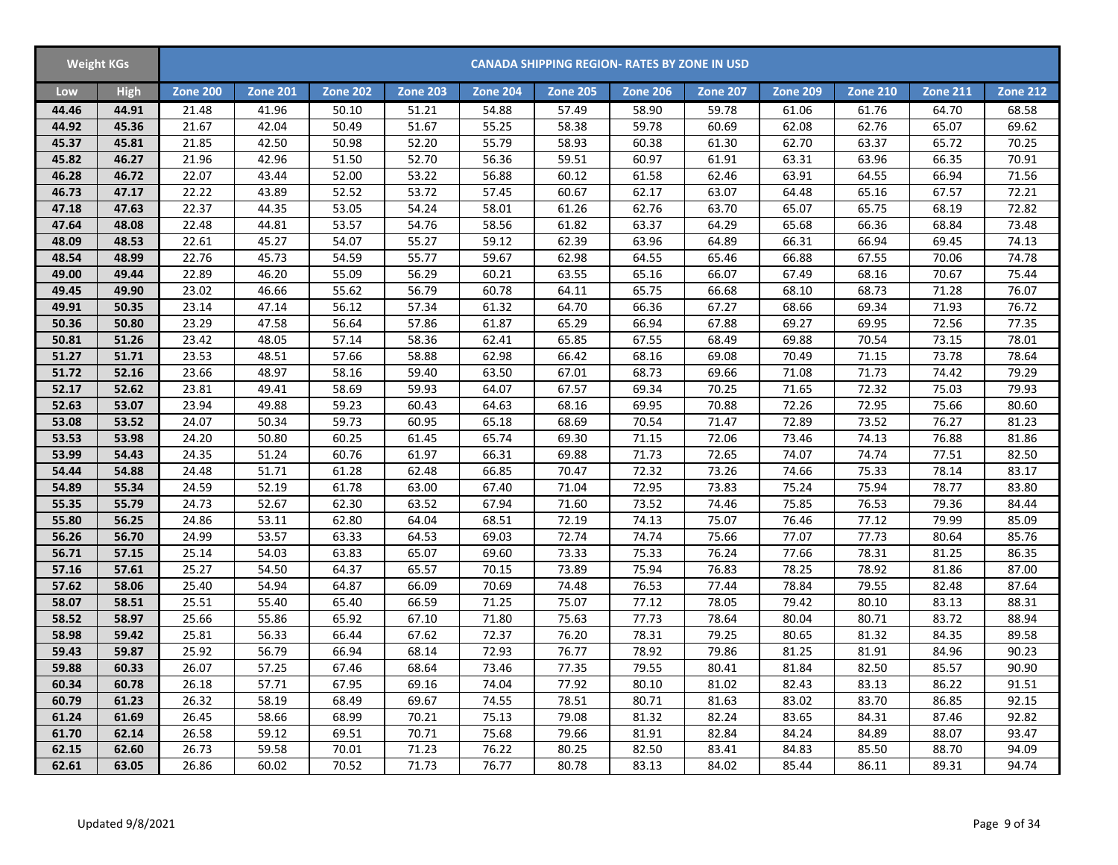| <b>Weight KGs</b> |             |                    |                 |                 |                 |                 | <b>CANADA SHIPPING REGION- RATES BY ZONE IN USD</b> |                 |                 |                 |                 |                 |                 |
|-------------------|-------------|--------------------|-----------------|-----------------|-----------------|-----------------|-----------------------------------------------------|-----------------|-----------------|-----------------|-----------------|-----------------|-----------------|
| Low               | <b>High</b> | <b>Zone 200</b>    | <b>Zone 201</b> | <b>Zone 202</b> | <b>Zone 203</b> | <b>Zone 204</b> | <b>Zone 205</b>                                     | <b>Zone 206</b> | <b>Zone 207</b> | <b>Zone 209</b> | <b>Zone 210</b> | <b>Zone 211</b> | <b>Zone 212</b> |
| 44.46             | 44.91       | 21.48              | 41.96           | 50.10           | 51.21           | 54.88           | 57.49                                               | 58.90           | 59.78           | 61.06           | 61.76           | 64.70           | 68.58           |
| 44.92             | 45.36       | 21.67              | 42.04           | 50.49           | 51.67           | 55.25           | 58.38                                               | 59.78           | 60.69           | 62.08           | 62.76           | 65.07           | 69.62           |
| 45.37             | 45.81       | 21.85              | 42.50           | 50.98           | 52.20           | 55.79           | 58.93                                               | 60.38           | 61.30           | 62.70           | 63.37           | 65.72           | 70.25           |
| 45.82             | 46.27       | 21.96              | 42.96           | 51.50           | 52.70           | 56.36           | 59.51                                               | 60.97           | 61.91           | 63.31           | 63.96           | 66.35           | 70.91           |
| 46.28             | 46.72       | $\overline{22.07}$ | 43.44           | 52.00           | 53.22           | 56.88           | 60.12                                               | 61.58           | 62.46           | 63.91           | 64.55           | 66.94           | 71.56           |
| 46.73             | 47.17       | 22.22              | 43.89           | 52.52           | 53.72           | 57.45           | 60.67                                               | 62.17           | 63.07           | 64.48           | 65.16           | 67.57           | 72.21           |
| 47.18             | 47.63       | 22.37              | 44.35           | 53.05           | 54.24           | 58.01           | 61.26                                               | 62.76           | 63.70           | 65.07           | 65.75           | 68.19           | 72.82           |
| 47.64             | 48.08       | 22.48              | 44.81           | 53.57           | 54.76           | 58.56           | 61.82                                               | 63.37           | 64.29           | 65.68           | 66.36           | 68.84           | 73.48           |
| 48.09             | 48.53       | 22.61              | 45.27           | 54.07           | 55.27           | 59.12           | 62.39                                               | 63.96           | 64.89           | 66.31           | 66.94           | 69.45           | 74.13           |
| 48.54             | 48.99       | 22.76              | 45.73           | 54.59           | 55.77           | 59.67           | 62.98                                               | 64.55           | 65.46           | 66.88           | 67.55           | 70.06           | 74.78           |
| 49.00             | 49.44       | 22.89              | 46.20           | 55.09           | 56.29           | 60.21           | 63.55                                               | 65.16           | 66.07           | 67.49           | 68.16           | 70.67           | 75.44           |
| 49.45             | 49.90       | 23.02              | 46.66           | 55.62           | 56.79           | 60.78           | 64.11                                               | 65.75           | 66.68           | 68.10           | 68.73           | 71.28           | 76.07           |
| 49.91             | 50.35       | 23.14              | 47.14           | 56.12           | 57.34           | 61.32           | 64.70                                               | 66.36           | 67.27           | 68.66           | 69.34           | 71.93           | 76.72           |
| 50.36             | 50.80       | 23.29              | 47.58           | 56.64           | 57.86           | 61.87           | 65.29                                               | 66.94           | 67.88           | 69.27           | 69.95           | 72.56           | 77.35           |
| 50.81             | 51.26       | 23.42              | 48.05           | 57.14           | 58.36           | 62.41           | 65.85                                               | 67.55           | 68.49           | 69.88           | 70.54           | 73.15           | 78.01           |
| 51.27             | 51.71       | 23.53              | 48.51           | 57.66           | 58.88           | 62.98           | 66.42                                               | 68.16           | 69.08           | 70.49           | 71.15           | 73.78           | 78.64           |
| 51.72             | 52.16       | 23.66              | 48.97           | 58.16           | 59.40           | 63.50           | 67.01                                               | 68.73           | 69.66           | 71.08           | 71.73           | 74.42           | 79.29           |
| 52.17             | 52.62       | 23.81              | 49.41           | 58.69           | 59.93           | 64.07           | 67.57                                               | 69.34           | 70.25           | 71.65           | 72.32           | 75.03           | 79.93           |
| 52.63             | 53.07       | 23.94              | 49.88           | 59.23           | 60.43           | 64.63           | 68.16                                               | 69.95           | 70.88           | 72.26           | 72.95           | 75.66           | 80.60           |
| 53.08             | 53.52       | 24.07              | 50.34           | 59.73           | 60.95           | 65.18           | 68.69                                               | 70.54           | 71.47           | 72.89           | 73.52           | 76.27           | 81.23           |
| 53.53             | 53.98       | 24.20              | 50.80           | 60.25           | 61.45           | 65.74           | 69.30                                               | 71.15           | 72.06           | 73.46           | 74.13           | 76.88           | 81.86           |
| 53.99             | 54.43       | 24.35              | 51.24           | 60.76           | 61.97           | 66.31           | 69.88                                               | 71.73           | 72.65           | 74.07           | 74.74           | 77.51           | 82.50           |
| 54.44             | 54.88       | 24.48              | 51.71           | 61.28           | 62.48           | 66.85           | 70.47                                               | 72.32           | 73.26           | 74.66           | 75.33           | 78.14           | 83.17           |
| 54.89             | 55.34       | 24.59              | 52.19           | 61.78           | 63.00           | 67.40           | 71.04                                               | 72.95           | 73.83           | 75.24           | 75.94           | 78.77           | 83.80           |
| 55.35             | 55.79       | 24.73              | 52.67           | 62.30           | 63.52           | 67.94           | 71.60                                               | 73.52           | 74.46           | 75.85           | 76.53           | 79.36           | 84.44           |
| 55.80             | 56.25       | 24.86              | 53.11           | 62.80           | 64.04           | 68.51           | 72.19                                               | 74.13           | 75.07           | 76.46           | 77.12           | 79.99           | 85.09           |
| 56.26             | 56.70       | 24.99              | 53.57           | 63.33           | 64.53           | 69.03           | 72.74                                               | 74.74           | 75.66           | 77.07           | 77.73           | 80.64           | 85.76           |
| 56.71             | 57.15       | 25.14              | 54.03           | 63.83           | 65.07           | 69.60           | 73.33                                               | 75.33           | 76.24           | 77.66           | 78.31           | 81.25           | 86.35           |
| 57.16             | 57.61       | 25.27              | 54.50           | 64.37           | 65.57           | 70.15           | 73.89                                               | 75.94           | 76.83           | 78.25           | 78.92           | 81.86           | 87.00           |
| 57.62             | 58.06       | 25.40              | 54.94           | 64.87           | 66.09           | 70.69           | 74.48                                               | 76.53           | 77.44           | 78.84           | 79.55           | 82.48           | 87.64           |
| 58.07             | 58.51       | 25.51              | 55.40           | 65.40           | 66.59           | 71.25           | 75.07                                               | 77.12           | 78.05           | 79.42           | 80.10           | 83.13           | 88.31           |
| 58.52             | 58.97       | 25.66              | 55.86           | 65.92           | 67.10           | 71.80           | 75.63                                               | 77.73           | 78.64           | 80.04           | 80.71           | 83.72           | 88.94           |
| 58.98             | 59.42       | 25.81              | 56.33           | 66.44           | 67.62           | 72.37           | 76.20                                               | 78.31           | 79.25           | 80.65           | 81.32           | 84.35           | 89.58           |
| 59.43             | 59.87       | 25.92              | 56.79           | 66.94           | 68.14           | 72.93           | 76.77                                               | 78.92           | 79.86           | 81.25           | 81.91           | 84.96           | 90.23           |
| 59.88             | 60.33       | 26.07              | 57.25           | 67.46           | 68.64           | 73.46           | 77.35                                               | 79.55           | 80.41           | 81.84           | 82.50           | 85.57           | 90.90           |
| 60.34             | 60.78       | 26.18              | 57.71           | 67.95           | 69.16           | 74.04           | 77.92                                               | 80.10           | 81.02           | 82.43           | 83.13           | 86.22           | 91.51           |
| 60.79             | 61.23       | 26.32              | 58.19           | 68.49           | 69.67           | 74.55           | 78.51                                               | 80.71           | 81.63           | 83.02           | 83.70           | 86.85           | 92.15           |
| 61.24             | 61.69       | 26.45              | 58.66           | 68.99           | 70.21           | 75.13           | 79.08                                               | 81.32           | 82.24           | 83.65           | 84.31           | 87.46           | 92.82           |
| 61.70             | 62.14       | 26.58              | 59.12           | 69.51           | 70.71           | 75.68           | 79.66                                               | 81.91           | 82.84           | 84.24           | 84.89           | 88.07           | 93.47           |
| 62.15             | 62.60       | 26.73              | 59.58           | 70.01           | 71.23           | 76.22           | 80.25                                               | 82.50           | 83.41           | 84.83           | 85.50           | 88.70           | 94.09           |
| 62.61             | 63.05       | 26.86              | 60.02           | 70.52           | 71.73           | 76.77           | 80.78                                               | 83.13           | 84.02           | 85.44           | 86.11           | 89.31           | 94.74           |